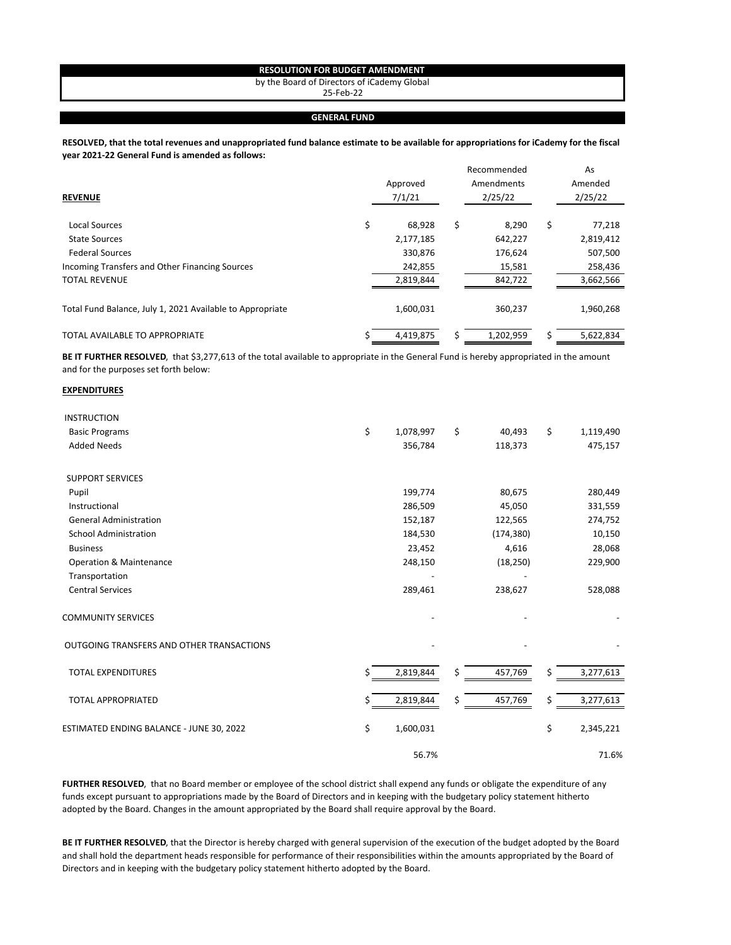## **RESOLUTION FOR BUDGET AMENDMENT**

by the Board of Directors of iCademy Global

25‐Feb‐22

## **GENERAL FUND**

## **RESOLVED, that the total revenues and unappropriated fund balance estimate to be available for appropriations for iCademy for the fiscal year 2021‐22 General Fund is amended as follows:**

| <b>REVENUE</b>                                            | Approved<br>7/1/21 |    | Recommended<br>Amendments<br>2/25/22 | As<br>Amended<br>2/25/22 |
|-----------------------------------------------------------|--------------------|----|--------------------------------------|--------------------------|
| <b>Local Sources</b>                                      | \$<br>68,928       | \$ | 8,290                                | \$<br>77,218             |
| <b>State Sources</b>                                      | 2,177,185          |    | 642,227                              | 2,819,412                |
| <b>Federal Sources</b>                                    | 330,876            |    | 176,624                              | 507,500                  |
| Incoming Transfers and Other Financing Sources            | 242,855            |    | 15,581                               | 258,436                  |
| <b>TOTAL REVENUE</b>                                      | 2,819,844          |    | 842,722                              | 3,662,566                |
| Total Fund Balance, July 1, 2021 Available to Appropriate | 1,600,031          |    | 360,237                              | 1,960,268                |
| TOTAL AVAILABLE TO APPROPRIATE                            | 4,419,875          | Ś  | 1,202,959                            | 5,622,834                |

**BE IT FURTHER RESOLVED**, that \$3,277,613 of the total available to appropriate in the General Fund is hereby appropriated in the amount and for the purposes set forth below:

## **EXPENDITURES**

| <b>INSTRUCTION</b>                        |    |           |               |    |           |
|-------------------------------------------|----|-----------|---------------|----|-----------|
| <b>Basic Programs</b>                     | \$ | 1,078,997 | \$<br>40,493  | \$ | 1,119,490 |
| <b>Added Needs</b>                        |    | 356,784   | 118,373       |    | 475,157   |
| <b>SUPPORT SERVICES</b>                   |    |           |               |    |           |
| Pupil                                     |    | 199,774   | 80,675        |    | 280,449   |
| Instructional                             |    | 286,509   | 45,050        |    | 331,559   |
| <b>General Administration</b>             |    | 152,187   | 122,565       |    | 274,752   |
| <b>School Administration</b>              |    | 184,530   | (174, 380)    |    | 10,150    |
| <b>Business</b>                           |    | 23,452    | 4,616         |    | 28,068    |
| Operation & Maintenance                   |    | 248,150   | (18, 250)     |    | 229,900   |
| Transportation                            |    |           |               |    |           |
| <b>Central Services</b>                   |    | 289,461   | 238,627       |    | 528,088   |
| <b>COMMUNITY SERVICES</b>                 |    |           |               |    |           |
| OUTGOING TRANSFERS AND OTHER TRANSACTIONS |    |           |               |    |           |
| <b>TOTAL EXPENDITURES</b>                 | Ś  | 2,819,844 | \$<br>457,769 | Ś. | 3,277,613 |
| <b>TOTAL APPROPRIATED</b>                 | \$ | 2,819,844 | \$<br>457,769 | \$ | 3,277,613 |
| ESTIMATED ENDING BALANCE - JUNE 30, 2022  | \$ | 1,600,031 |               | \$ | 2,345,221 |
|                                           |    | 56.7%     |               |    | 71.6%     |

**FURTHER RESOLVED**, that no Board member or employee of the school district shall expend any funds or obligate the expenditure of any funds except pursuant to appropriations made by the Board of Directors and in keeping with the budgetary policy statement hitherto adopted by the Board. Changes in the amount appropriated by the Board shall require approval by the Board.

**BE IT FURTHER RESOLVED**, that the Director is hereby charged with general supervision of the execution of the budget adopted by the Board and shall hold the department heads responsible for performance of their responsibilities within the amounts appropriated by the Board of Directors and in keeping with the budgetary policy statement hitherto adopted by the Board.